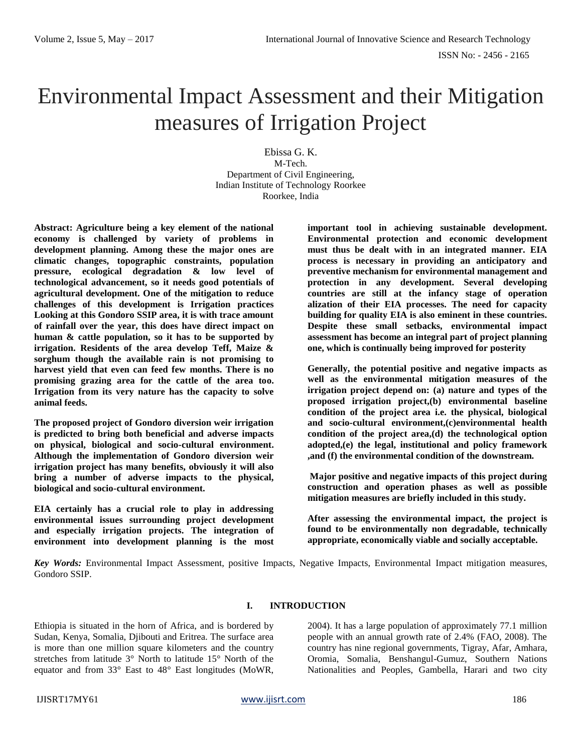# Environmental Impact Assessment and their Mitigation measures of Irrigation Project

Ebissa G. K. M-Tech. Department of Civil Engineering, Indian Institute of Technology Roorkee Roorkee, India

**Abstract: Agriculture being a key element of the national economy is challenged by variety of problems in development planning. Among these the major ones are climatic changes, topographic constraints, population pressure, ecological degradation & low level of technological advancement, so it needs good potentials of agricultural development. One of the mitigation to reduce challenges of this development is Irrigation practices Looking at this Gondoro SSIP area, it is with trace amount of rainfall over the year, this does have direct impact on human & cattle population, so it has to be supported by irrigation. Residents of the area develop Teff, Maize & sorghum though the available rain is not promising to harvest yield that even can feed few months. There is no promising grazing area for the cattle of the area too. Irrigation from its very nature has the capacity to solve animal feeds.**

**The proposed project of Gondoro diversion weir irrigation is predicted to bring both beneficial and adverse impacts on physical, biological and socio-cultural environment. Although the implementation of Gondoro diversion weir irrigation project has many benefits, obviously it will also bring a number of adverse impacts to the physical, biological and socio-cultural environment.** 

**EIA certainly has a crucial role to play in addressing environmental issues surrounding project development and especially irrigation projects. The integration of environment into development planning is the most** 

**important tool in achieving sustainable development. Environmental protection and economic development must thus be dealt with in an integrated manner. EIA process is necessary in providing an anticipatory and preventive mechanism for environmental management and protection in any development. Several developing countries are still at the infancy stage of operation alization of their EIA processes. The need for capacity building for quality EIA is also eminent in these countries. Despite these small setbacks, environmental impact assessment has become an integral part of project planning one, which is continually being improved for posterity**

**Generally, the potential positive and negative impacts as well as the environmental mitigation measures of the irrigation project depend on: (a) nature and types of the proposed irrigation project,(b) environmental baseline condition of the project area i.e. the physical, biological and socio-cultural environment,(c)environmental health condition of the project area,(d) the technological option adopted,(e) the legal, institutional and policy framework ,and (f) the environmental condition of the downstream.**

**Major positive and negative impacts of this project during construction and operation phases as well as possible mitigation measures are briefly included in this study.**

**After assessing the environmental impact, the project is found to be environmentally non degradable, technically appropriate, economically viable and socially acceptable.**

*Key Words:* Environmental Impact Assessment, positive Impacts, Negative Impacts, Environmental Impact mitigation measures, Gondoro SSIP.

# **I. INTRODUCTION**

Ethiopia is situated in the horn of Africa, and is bordered by Sudan, Kenya, Somalia, Djibouti and Eritrea. The surface area is more than one million square kilometers and the country stretches from latitude 3° North to latitude 15° North of the equator and from 33° East to 48° East longitudes (MoWR,

2004). It has a large population of approximately 77.1 million people with an annual growth rate of 2.4% (FAO, 2008). The country has nine regional governments, Tigray, Afar, Amhara, Oromia, Somalia, Benshangul-Gumuz, Southern Nations Nationalities and Peoples, Gambella, Harari and two city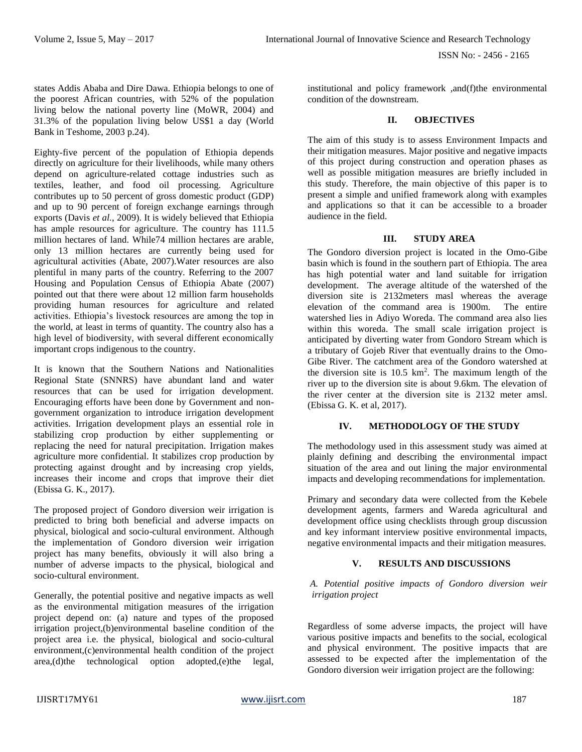states Addis Ababa and Dire Dawa. Ethiopia belongs to one of the poorest African countries, with 52% of the population living below the national poverty line (MoWR, 2004) and 31.3% of the population living below US\$1 a day (World Bank in Teshome, 2003 p.24).

Eighty-five percent of the population of Ethiopia depends directly on agriculture for their livelihoods, while many others depend on agriculture-related cottage industries such as textiles, leather, and food oil processing. Agriculture contributes up to 50 percent of gross domestic product (GDP) and up to 90 percent of foreign exchange earnings through exports (Davis *et al.*, 2009). It is widely believed that Ethiopia has ample resources for agriculture. The country has  $111.5$ million hectares of land. While74 million hectares are arable, only 13 million hectares are currently being used for agricultural activities (Abate, 2007).Water resources are also plentiful in many parts of the country. Referring to the 2007 Housing and Population Census of Ethiopia Abate (2007) pointed out that there were about 12 million farm households providing human resources for agriculture and related activities. Ethiopia's livestock resources are among the top in the world, at least in terms of quantity. The country also has a high level of biodiversity, with several different economically important crops indigenous to the country.

It is known that the Southern Nations and Nationalities Regional State (SNNRS) have abundant land and water resources that can be used for irrigation development. Encouraging efforts have been done by Government and nongovernment organization to introduce irrigation development activities. Irrigation development plays an essential role in stabilizing crop production by either supplementing or replacing the need for natural precipitation. Irrigation makes agriculture more confidential. It stabilizes crop production by protecting against drought and by increasing crop yields, increases their income and crops that improve their diet (Ebissa G. K., 2017).

The proposed project of Gondoro diversion weir irrigation is predicted to bring both beneficial and adverse impacts on physical, biological and socio-cultural environment. Although the implementation of Gondoro diversion weir irrigation project has many benefits, obviously it will also bring a number of adverse impacts to the physical, biological and socio-cultural environment.

Generally, the potential positive and negative impacts as well as the environmental mitigation measures of the irrigation project depend on: (a) nature and types of the proposed irrigation project,(b)environmental baseline condition of the project area i.e. the physical, biological and socio-cultural environment,(c)environmental health condition of the project area,(d)the technological option adopted,(e)the legal,

institutional and policy framework ,and(f)the environmental condition of the downstream.

## **II. OBJECTIVES**

The aim of this study is to assess Environment Impacts and their mitigation measures. Major positive and negative impacts of this project during construction and operation phases as well as possible mitigation measures are briefly included in this study. Therefore, the main objective of this paper is to present a simple and unified framework along with examples and applications so that it can be accessible to a broader audience in the field.

## **III. STUDY AREA**

The Gondoro diversion project is located in the Omo-Gibe basin which is found in the southern part of Ethiopia. The area has high potential water and land suitable for irrigation development. The average altitude of the watershed of the diversion site is 2132meters masl whereas the average elevation of the command area is 1900m. The entire watershed lies in Adiyo Woreda. The command area also lies within this woreda. The small scale irrigation project is anticipated by diverting water from Gondoro Stream which is a tributary of Gojeb River that eventually drains to the Omo-Gibe River. The catchment area of the Gondoro watershed at the diversion site is  $10.5 \text{ km}^2$ . The maximum length of the river up to the diversion site is about 9.6km. The elevation of the river center at the diversion site is 2132 meter amsl. (Ebissa G. K. et al, 2017).

## **IV. METHODOLOGY OF THE STUDY**

The methodology used in this assessment study was aimed at plainly defining and describing the environmental impact situation of the area and out lining the major environmental impacts and developing recommendations for implementation.

Primary and secondary data were collected from the Kebele development agents, farmers and Wareda agricultural and development office using checklists through group discussion and key informant interview positive environmental impacts, negative environmental impacts and their mitigation measures.

## **V. RESULTS AND DISCUSSIONS**

*A. Potential positive impacts of Gondoro diversion weir irrigation project*

Regardless of some adverse impacts, the project will have various positive impacts and benefits to the social, ecological and physical environment. The positive impacts that are assessed to be expected after the implementation of the Gondoro diversion weir irrigation project are the following: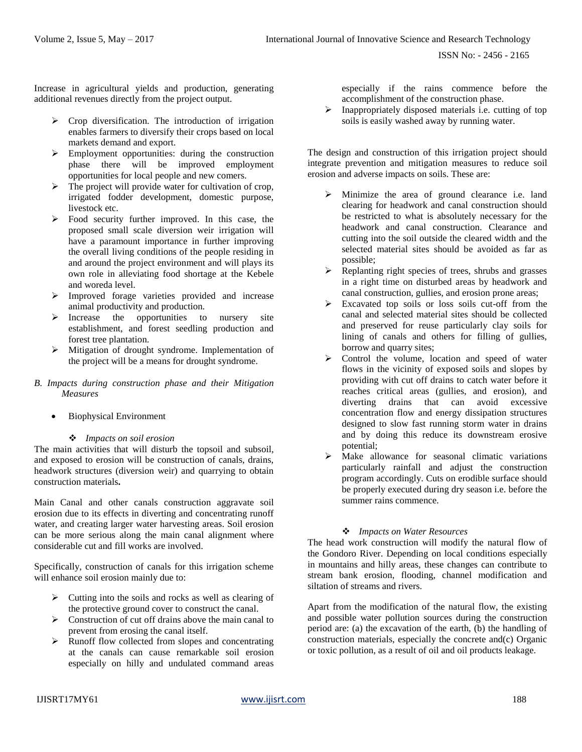Increase in agricultural yields and production, generating additional revenues directly from the project output.

- $\triangleright$  Crop diversification. The introduction of irrigation enables farmers to diversify their crops based on local markets demand and export.
- **Employment opportunities: during the construction** phase there will be improved employment opportunities for local people and new comers.
- $\triangleright$  The project will provide water for cultivation of crop, irrigated fodder development, domestic purpose, livestock etc.
- Food security further improved. In this case, the proposed small scale diversion weir irrigation will have a paramount importance in further improving the overall living conditions of the people residing in and around the project environment and will plays its own role in alleviating food shortage at the Kebele and woreda level.
- Improved forage varieties provided and increase animal productivity and production.
- $\triangleright$  Increase the opportunities to nursery site establishment, and forest seedling production and forest tree plantation.
- Mitigation of drought syndrome. Implementation of the project will be a means for drought syndrome.
- *B. Impacts during construction phase and their Mitigation Measures*
	- Biophysical Environment

## *Impacts on soil erosion*

The main activities that will disturb the topsoil and subsoil, and exposed to erosion will be construction of canals, drains, headwork structures (diversion weir) and quarrying to obtain construction materials**.**

Main Canal and other canals construction aggravate soil erosion due to its effects in diverting and concentrating runoff water, and creating larger water harvesting areas. Soil erosion can be more serious along the main canal alignment where considerable cut and fill works are involved.

Specifically, construction of canals for this irrigation scheme will enhance soil erosion mainly due to:

- $\triangleright$  Cutting into the soils and rocks as well as clearing of the protective ground cover to construct the canal.
- $\triangleright$  Construction of cut off drains above the main canal to prevent from erosing the canal itself.
- $\triangleright$  Runoff flow collected from slopes and concentrating at the canals can cause remarkable soil erosion especially on hilly and undulated command areas

especially if the rains commence before the accomplishment of the construction phase.

 $\triangleright$  Inappropriately disposed materials i.e. cutting of top soils is easily washed away by running water.

The design and construction of this irrigation project should integrate prevention and mitigation measures to reduce soil erosion and adverse impacts on soils. These are:

- $\triangleright$  Minimize the area of ground clearance i.e. land clearing for headwork and canal construction should be restricted to what is absolutely necessary for the headwork and canal construction. Clearance and cutting into the soil outside the cleared width and the selected material sites should be avoided as far as possible;
- Replanting right species of trees, shrubs and grasses in a right time on disturbed areas by headwork and canal construction, gullies, and erosion prone areas;
- Excavated top soils or loss soils cut-off from the canal and selected material sites should be collected and preserved for reuse particularly clay soils for lining of canals and others for filling of gullies, borrow and quarry sites;
- Control the volume, location and speed of water flows in the vicinity of exposed soils and slopes by providing with cut off drains to catch water before it reaches critical areas (gullies, and erosion), and diverting drains that can avoid excessive concentration flow and energy dissipation structures designed to slow fast running storm water in drains and by doing this reduce its downstream erosive potential;
- $\triangleright$  Make allowance for seasonal climatic variations particularly rainfall and adjust the construction program accordingly. Cuts on erodible surface should be properly executed during dry season i.e. before the summer rains commence.

## *Impacts on Water Resources*

The head work construction will modify the natural flow of the Gondoro River. Depending on local conditions especially in mountains and hilly areas, these changes can contribute to stream bank erosion, flooding, channel modification and siltation of streams and rivers.

Apart from the modification of the natural flow, the existing and possible water pollution sources during the construction period are: (a) the excavation of the earth, (b) the handling of construction materials, especially the concrete and(c) Organic or toxic pollution, as a result of oil and oil products leakage.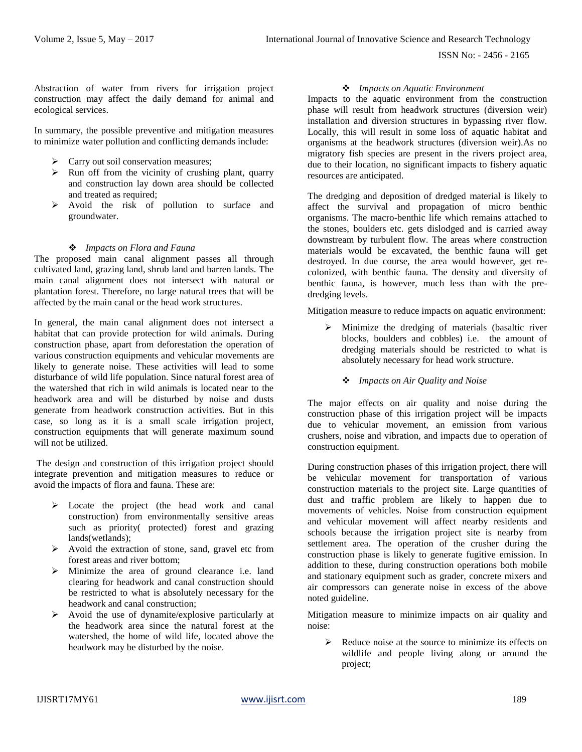ISSN No: - 2456 - 2165

Abstraction of water from rivers for irrigation project construction may affect the daily demand for animal and ecological services.

In summary, the possible preventive and mitigation measures to minimize water pollution and conflicting demands include:

- > Carry out soil conservation measures;
- $\triangleright$  Run off from the vicinity of crushing plant, quarry and construction lay down area should be collected and treated as required;
- $\triangleright$  Avoid the risk of pollution to surface and groundwater.

#### *Impacts on Flora and Fauna*

The proposed main canal alignment passes all through cultivated land, grazing land, shrub land and barren lands. The main canal alignment does not intersect with natural or plantation forest. Therefore, no large natural trees that will be affected by the main canal or the head work structures.

In general, the main canal alignment does not intersect a habitat that can provide protection for wild animals. During construction phase, apart from deforestation the operation of various construction equipments and vehicular movements are likely to generate noise. These activities will lead to some disturbance of wild life population. Since natural forest area of the watershed that rich in wild animals is located near to the headwork area and will be disturbed by noise and dusts generate from headwork construction activities. But in this case, so long as it is a small scale irrigation project, construction equipments that will generate maximum sound will not be utilized.

The design and construction of this irrigation project should integrate prevention and mitigation measures to reduce or avoid the impacts of flora and fauna. These are:

- > Locate the project (the head work and canal construction) from environmentally sensitive areas such as priority( protected) forest and grazing lands(wetlands);
- $\triangleright$  Avoid the extraction of stone, sand, gravel etc from forest areas and river bottom;
- Minimize the area of ground clearance i.e. land clearing for headwork and canal construction should be restricted to what is absolutely necessary for the headwork and canal construction;
- $\triangleright$  Avoid the use of dynamite/explosive particularly at the headwork area since the natural forest at the watershed, the home of wild life, located above the headwork may be disturbed by the noise.

#### *Impacts on Aquatic Environment*

Impacts to the aquatic environment from the construction phase will result from headwork structures (diversion weir) installation and diversion structures in bypassing river flow. Locally, this will result in some loss of aquatic habitat and organisms at the headwork structures (diversion weir).As no migratory fish species are present in the rivers project area, due to their location, no significant impacts to fishery aquatic resources are anticipated.

The dredging and deposition of dredged material is likely to affect the survival and propagation of micro benthic organisms. The macro-benthic life which remains attached to the stones, boulders etc. gets dislodged and is carried away downstream by turbulent flow. The areas where construction materials would be excavated, the benthic fauna will get destroyed. In due course, the area would however, get recolonized, with benthic fauna. The density and diversity of benthic fauna, is however, much less than with the predredging levels.

Mitigation measure to reduce impacts on aquatic environment:

- $\triangleright$  Minimize the dredging of materials (basaltic river blocks, boulders and cobbles) i.e. the amount of dredging materials should be restricted to what is absolutely necessary for head work structure.
	- *Impacts on Air Quality and Noise*

The major effects on air quality and noise during the construction phase of this irrigation project will be impacts due to vehicular movement, an emission from various crushers, noise and vibration, and impacts due to operation of construction equipment.

During construction phases of this irrigation project, there will be vehicular movement for transportation of various construction materials to the project site. Large quantities of dust and traffic problem are likely to happen due to movements of vehicles. Noise from construction equipment and vehicular movement will affect nearby residents and schools because the irrigation project site is nearby from settlement area. The operation of the crusher during the construction phase is likely to generate fugitive emission. In addition to these, during construction operations both mobile and stationary equipment such as grader, concrete mixers and air compressors can generate noise in excess of the above noted guideline.

Mitigation measure to minimize impacts on air quality and noise:

 $\triangleright$  Reduce noise at the source to minimize its effects on wildlife and people living along or around the project;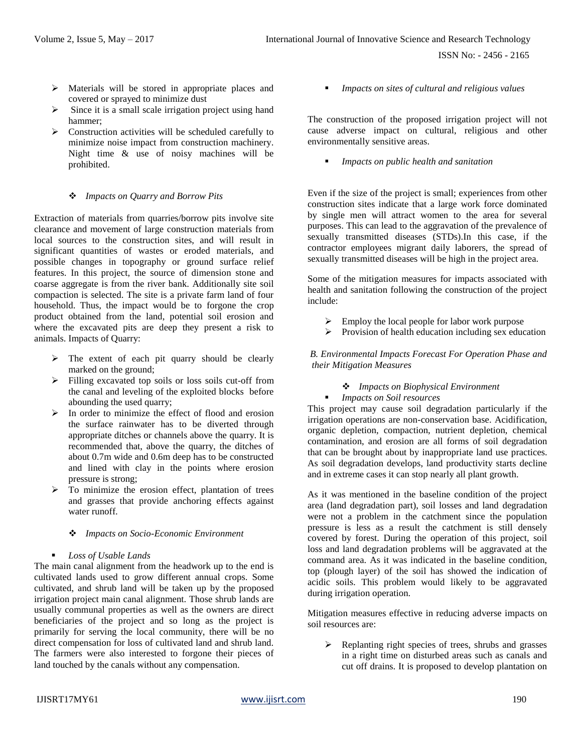ISSN No: - 2456 - 2165

- $\triangleright$  Materials will be stored in appropriate places and covered or sprayed to minimize dust
- $\triangleright$  Since it is a small scale irrigation project using hand hammer;
- $\triangleright$  Construction activities will be scheduled carefully to minimize noise impact from construction machinery. Night time & use of noisy machines will be prohibited.

## *Impacts on Quarry and Borrow Pits*

Extraction of materials from quarries/borrow pits involve site clearance and movement of large construction materials from local sources to the construction sites, and will result in significant quantities of wastes or eroded materials, and possible changes in topography or ground surface relief features. In this project, the source of dimension stone and coarse aggregate is from the river bank. Additionally site soil compaction is selected. The site is a private farm land of four household. Thus, the impact would be to forgone the crop product obtained from the land, potential soil erosion and where the excavated pits are deep they present a risk to animals. Impacts of Quarry:

- $\triangleright$  The extent of each pit quarry should be clearly marked on the ground;
- Filling excavated top soils or loss soils cut-off from the canal and leveling of the exploited blocks before abounding the used quarry;
- $\triangleright$  In order to minimize the effect of flood and erosion the surface rainwater has to be diverted through appropriate ditches or channels above the quarry. It is recommended that, above the quarry, the ditches of about 0.7m wide and 0.6m deep has to be constructed and lined with clay in the points where erosion pressure is strong;
- To minimize the erosion effect, plantation of trees and grasses that provide anchoring effects against water runoff.
	- *Impacts on Socio-Economic Environment*
- *Loss of Usable Lands*

The main canal alignment from the headwork up to the end is cultivated lands used to grow different annual crops. Some cultivated, and shrub land will be taken up by the proposed irrigation project main canal alignment. Those shrub lands are usually communal properties as well as the owners are direct beneficiaries of the project and so long as the project is primarily for serving the local community, there will be no direct compensation for loss of cultivated land and shrub land. The farmers were also interested to forgone their pieces of land touched by the canals without any compensation.

*Impacts on sites of cultural and religious values*

The construction of the proposed irrigation project will not cause adverse impact on cultural, religious and other environmentally sensitive areas.

*Impacts on public health and sanitation*

Even if the size of the project is small; experiences from other construction sites indicate that a large work force dominated by single men will attract women to the area for several purposes. This can lead to the aggravation of the prevalence of sexually transmitted diseases (STDs).In this case, if the contractor employees migrant daily laborers, the spread of sexually transmitted diseases will be high in the project area.

Some of the mitigation measures for impacts associated with health and sanitation following the construction of the project include:

- $\triangleright$  Employ the local people for labor work purpose
- $\triangleright$  Provision of health education including sex education

## *B. Environmental Impacts Forecast For Operation Phase and their Mitigation Measures*

## *Impacts on Biophysical Environment*

*Impacts on Soil resources*

This project may cause soil degradation particularly if the irrigation operations are non-conservation base. Acidification, organic depletion, compaction, nutrient depletion, chemical contamination, and erosion are all forms of soil degradation that can be brought about by inappropriate land use practices. As soil degradation develops, land productivity starts decline and in extreme cases it can stop nearly all plant growth.

As it was mentioned in the baseline condition of the project area (land degradation part), soil losses and land degradation were not a problem in the catchment since the population pressure is less as a result the catchment is still densely covered by forest. During the operation of this project, soil loss and land degradation problems will be aggravated at the command area. As it was indicated in the baseline condition, top (plough layer) of the soil has showed the indication of acidic soils. This problem would likely to be aggravated during irrigation operation.

Mitigation measures effective in reducing adverse impacts on soil resources are:

 Replanting right species of trees, shrubs and grasses in a right time on disturbed areas such as canals and cut off drains. It is proposed to develop plantation on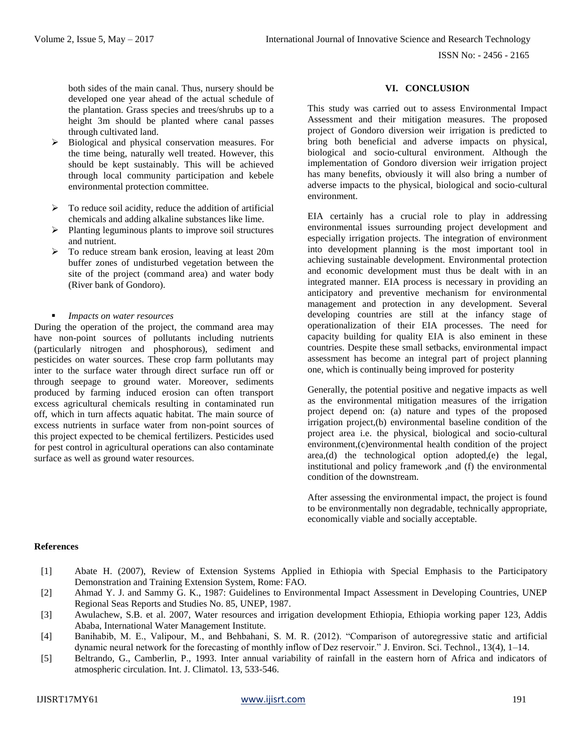ISSN No: - 2456 - 2165

both sides of the main canal. Thus, nursery should be developed one year ahead of the actual schedule of the plantation. Grass species and trees/shrubs up to a height 3m should be planted where canal passes through cultivated land.

- $\triangleright$  Biological and physical conservation measures. For the time being, naturally well treated. However, this should be kept sustainably. This will be achieved through local community participation and kebele environmental protection committee.
- $\triangleright$  To reduce soil acidity, reduce the addition of artificial chemicals and adding alkaline substances like lime.
- Planting leguminous plants to improve soil structures and nutrient.
- $\triangleright$  To reduce stream bank erosion, leaving at least 20m buffer zones of undisturbed vegetation between the site of the project (command area) and water body (River bank of Gondoro).
- *Impacts on water resources*

During the operation of the project, the command area may have non-point sources of pollutants including nutrients (particularly nitrogen and phosphorous), sediment and pesticides on water sources. These crop farm pollutants may inter to the surface water through direct surface run off or through seepage to ground water. Moreover, sediments produced by farming induced erosion can often transport excess agricultural chemicals resulting in contaminated run off, which in turn affects aquatic habitat. The main source of excess nutrients in surface water from non-point sources of this project expected to be chemical fertilizers. Pesticides used for pest control in agricultural operations can also contaminate surface as well as ground water resources.

## **VI. CONCLUSION**

This study was carried out to assess Environmental Impact Assessment and their mitigation measures. The proposed project of Gondoro diversion weir irrigation is predicted to bring both beneficial and adverse impacts on physical, biological and socio-cultural environment. Although the implementation of Gondoro diversion weir irrigation project has many benefits, obviously it will also bring a number of adverse impacts to the physical, biological and socio-cultural environment.

EIA certainly has a crucial role to play in addressing environmental issues surrounding project development and especially irrigation projects. The integration of environment into development planning is the most important tool in achieving sustainable development. Environmental protection and economic development must thus be dealt with in an integrated manner. EIA process is necessary in providing an anticipatory and preventive mechanism for environmental management and protection in any development. Several developing countries are still at the infancy stage of operationalization of their EIA processes. The need for capacity building for quality EIA is also eminent in these countries. Despite these small setbacks, environmental impact assessment has become an integral part of project planning one, which is continually being improved for posterity

Generally, the potential positive and negative impacts as well as the environmental mitigation measures of the irrigation project depend on: (a) nature and types of the proposed irrigation project,(b) environmental baseline condition of the project area i.e. the physical, biological and socio-cultural environment,(c)environmental health condition of the project area,(d) the technological option adopted,(e) the legal, institutional and policy framework ,and (f) the environmental condition of the downstream.

After assessing the environmental impact, the project is found to be environmentally non degradable, technically appropriate, economically viable and socially acceptable.

#### **References**

- [1] Abate H. (2007), Review of Extension Systems Applied in Ethiopia with Special Emphasis to the Participatory Demonstration and Training Extension System, Rome: FAO.
- [2] Ahmad Y. J. and Sammy G. K., 1987: Guidelines to Environmental Impact Assessment in Developing Countries, UNEP Regional Seas Reports and Studies No. 85, UNEP, 1987.
- [3] Awulachew, S.B. et al. 2007, Water resources and irrigation development Ethiopia, Ethiopia working paper 123, Addis Ababa, International Water Management Institute.
- [4] Banihabib, M. E., Valipour, M., and Behbahani, S. M. R. (2012). "Comparison of autoregressive static and artificial dynamic neural network for the forecasting of monthly inflow of Dez reservoir." J. Environ. Sci. Technol., 13(4), 1–14.
- [5] Beltrando, G., Camberlin, P., 1993. Inter annual variability of rainfall in the eastern horn of Africa and indicators of atmospheric circulation. Int. J. Climatol. 13, 533-546.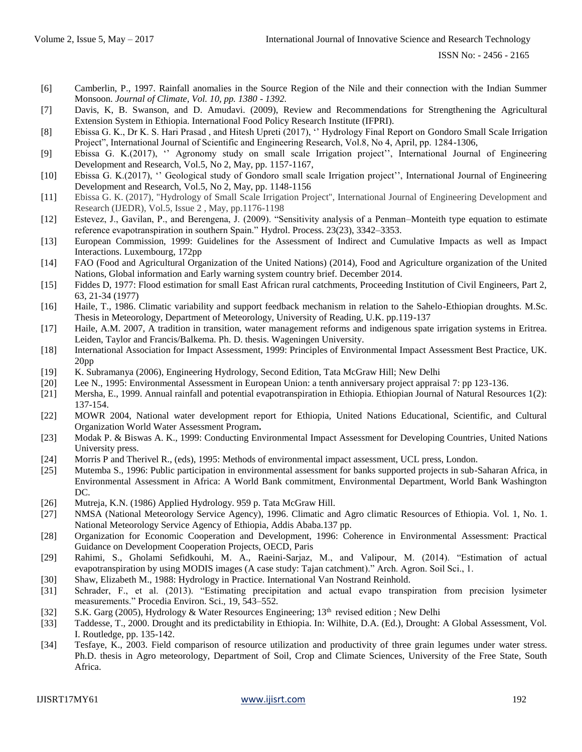- [6] Camberlin, P., 1997. Rainfall anomalies in the Source Region of the Nile and their connection with the Indian Summer Monsoon. *Journal of Climate, Vol. 10, pp. 1380 - 1392.*
- [7] Davis, K, B. Swanson, and D. Amudavi. (2009), Review and Recommendations for Strengthening the Agricultural Extension System in Ethiopia. International Food Policy Research Institute (IFPRI).
- [8] Ebissa G. K., Dr K. S. Hari Prasad , and Hitesh Upreti (2017), '' Hydrology Final Report on Gondoro Small Scale Irrigation Project", International Journal of Scientific and Engineering Research, Vol.8, No 4, April, pp. 1284-1306,
- [9] Ebissa G. K.(2017), '' Agronomy study on small scale Irrigation project'', International Journal of Engineering Development and Research, Vol.5, No 2, May, pp. 1157-1167,
- [10] Ebissa G. K.(2017), '' Geological study of Gondoro small scale Irrigation project'', International Journal of Engineering Development and Research, Vol.5, No 2, May, pp. 1148-1156
- [11] Ebissa G. K. (2017), "Hydrology of Small Scale Irrigation Project", International Journal of Engineering Development and Research (IJEDR), Vol.5, Issue 2 , May, pp.1176-1198
- [12] Estevez, J., Gavilan, P., and Berengena, J. (2009). "Sensitivity analysis of a Penman–Monteith type equation to estimate reference evapotranspiration in southern Spain." Hydrol. Process. 23(23), 3342–3353.
- [13] European Commission, 1999: Guidelines for the Assessment of Indirect and Cumulative Impacts as well as Impact Interactions. Luxembourg, 172pp
- [14] FAO (Food and Agricultural Organization of the United Nations) (2014), Food and Agriculture organization of the United Nations, Global information and Early warning system country brief. December 2014.
- [15] Fiddes D, 1977: Flood estimation for small East African rural catchments, Proceeding Institution of Civil Engineers, Part 2, 63, 21-34 (1977)
- [16] Haile, T., 1986. Climatic variability and support feedback mechanism in relation to the Sahelo-Ethiopian droughts. M.Sc. Thesis in Meteorology, Department of Meteorology, University of Reading, U.K. pp.119-137
- [17] Haile, A.M. 2007, A tradition in transition, water management reforms and indigenous spate irrigation systems in Eritrea. Leiden, Taylor and Francis/Balkema. Ph. D. thesis. Wageningen University.
- [18] International Association for Impact Assessment, 1999: Principles of Environmental Impact Assessment Best Practice, UK. 20pp
- [19] K. Subramanya (2006), Engineering Hydrology, Second Edition, Tata McGraw Hill; New Delhi
- [20] Lee N., 1995: Environmental Assessment in European Union: a tenth anniversary project appraisal 7: pp 123-136.
- [21] Mersha, E., 1999. Annual rainfall and potential evapotranspiration in Ethiopia. Ethiopian Journal of Natural Resources 1(2): 137-154.
- [22] MOWR 2004, National water development report for Ethiopia, United Nations Educational, Scientific, and Cultural Organization World Water Assessment Program**.**
- [23] Modak P. & Biswas A. K., 1999: Conducting Environmental Impact Assessment for Developing Countries*,* United Nations University press.
- [24] Morris P and Therivel R., (eds), 1995: Methods of environmental impact assessment, UCL press, London.
- [25] Mutemba S., 1996: Public participation in environmental assessment for banks supported projects in sub-Saharan Africa, in Environmental Assessment in Africa: A World Bank commitment, Environmental Department, World Bank Washington DC.
- [26] Mutreja, K.N. (1986) Applied Hydrology. 959 p. Tata McGraw Hill.
- [27] NMSA (National Meteorology Service Agency), 1996. Climatic and Agro climatic Resources of Ethiopia. Vol. 1, No. 1. National Meteorology Service Agency of Ethiopia, Addis Ababa.137 pp.
- [28] Organization for Economic Cooperation and Development, 1996: Coherence in Environmental Assessment: Practical Guidance on Development Cooperation Projects, OECD, Paris
- [29] Rahimi, S., Gholami Sefidkouhi, M. A., Raeini-Sarjaz, M., and Valipour, M. (2014). "Estimation of actual evapotranspiration by using MODIS images (A case study: Tajan catchment)." Arch. Agron. Soil Sci., 1.
- [30] Shaw, Elizabeth M., 1988: Hydrology in Practice. International Van Nostrand Reinhold.
- [31] Schrader, F., et al. (2013). "Estimating precipitation and actual evapo transpiration from precision lysimeter measurements." Procedia Environ. Sci., 19, 543–552.
- [32] S.K. Garg (2005), Hydrology & Water Resources Engineering; 13<sup>th</sup> revised edition; New Delhi
- [33] Taddesse, T., 2000. Drought and its predictability in Ethiopia. In: Wilhite, D.A. (Ed.), Drought: A Global Assessment, Vol. I. Routledge, pp. 135-142.
- [34] Tesfaye, K., 2003. Field comparison of resource utilization and productivity of three grain legumes under water stress. Ph.D. thesis in Agro meteorology, Department of Soil, Crop and Climate Sciences, University of the Free State, South Africa.